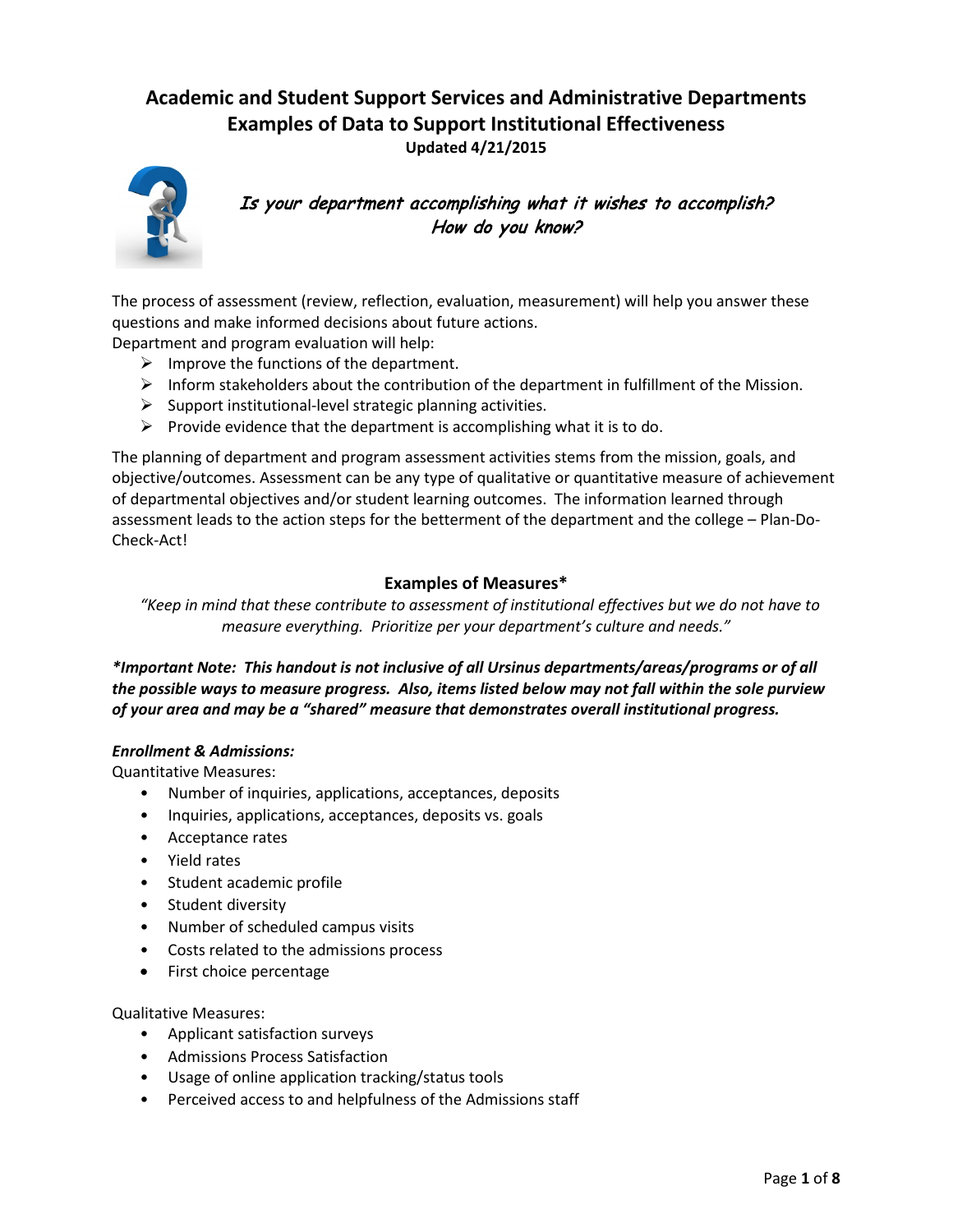# **Academic and Student Support Services and Administrative Departments Examples of Data to Support Institutional Effectiveness Updated 4/21/2015**



Is your department accomplishing what it wishes to accomplish? How do you know?

The process of assessment (review, reflection, evaluation, measurement) will help you answer these questions and make informed decisions about future actions.

Department and program evaluation will help:

- $\triangleright$  Improve the functions of the department.
- $\triangleright$  Inform stakeholders about the contribution of the department in fulfillment of the Mission.
- $\triangleright$  Support institutional-level strategic planning activities.
- $\triangleright$  Provide evidence that the department is accomplishing what it is to do.

The planning of department and program assessment activities stems from the mission, goals, and objective/outcomes. Assessment can be any type of qualitative or quantitative measure of achievement of departmental objectives and/or student learning outcomes. The information learned through assessment leads to the action steps for the betterment of the department and the college – Plan-Do-Check-Act!

# **Examples of Measures\***

*"Keep in mind that these contribute to assessment of institutional effectives but we do not have to measure everything. Prioritize per your department's culture and needs."*

# *\*Important Note: This handout is not inclusive of all Ursinus departments/areas/programs or of all the possible ways to measure progress. Also, items listed below may not fall within the sole purview of your area and may be a "shared" measure that demonstrates overall institutional progress.*

#### *Enrollment & Admissions:*

Quantitative Measures:

- Number of inquiries, applications, acceptances, deposits
- Inquiries, applications, acceptances, deposits vs. goals
- Acceptance rates
- Yield rates
- Student academic profile
- Student diversity
- Number of scheduled campus visits
- Costs related to the admissions process
- First choice percentage

#### Qualitative Measures:

- Applicant satisfaction surveys
- Admissions Process Satisfaction
- Usage of online application tracking/status tools
- Perceived access to and helpfulness of the Admissions staff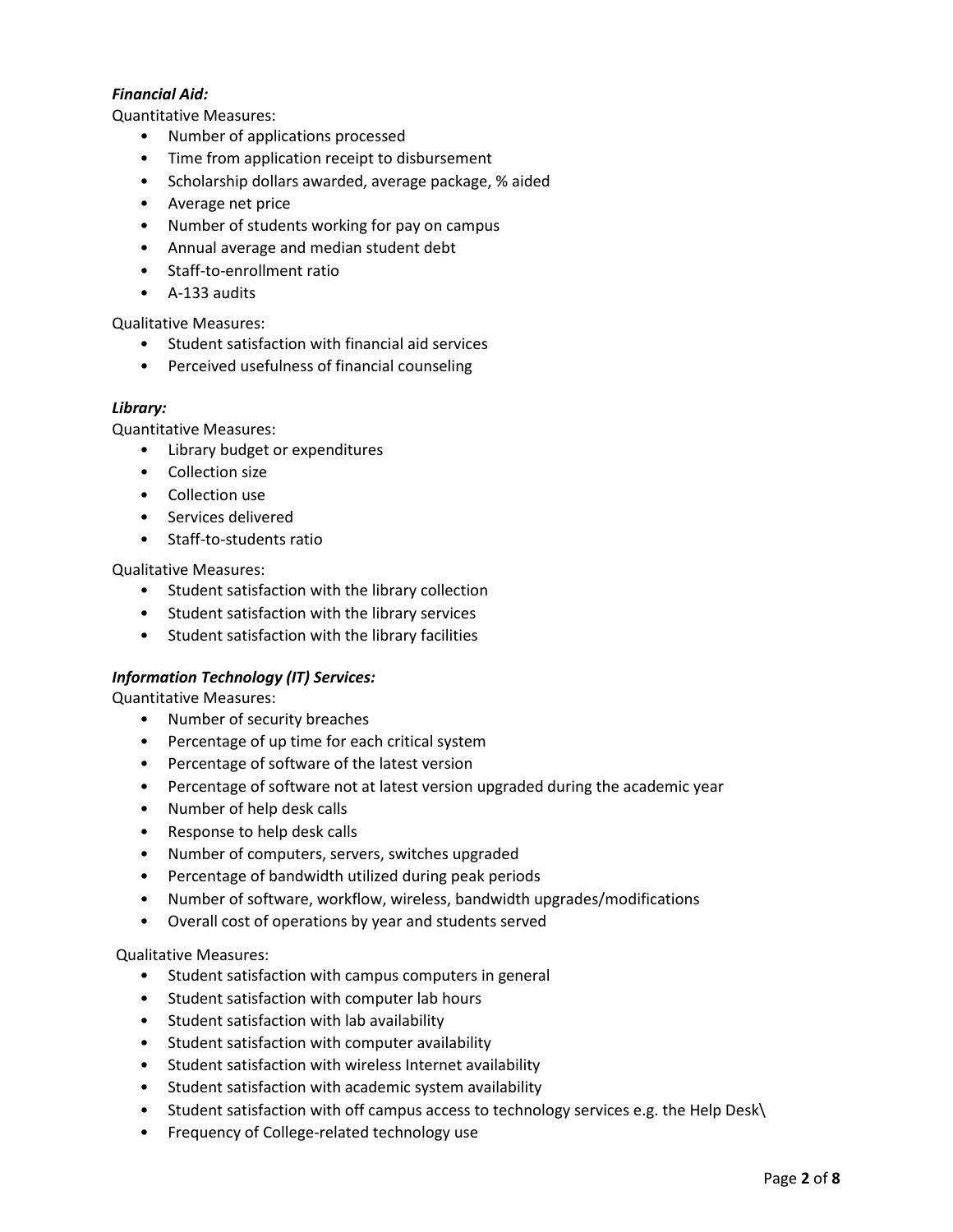# *Financial Aid:*

Quantitative Measures:

- Number of applications processed
- Time from application receipt to disbursement
- Scholarship dollars awarded, average package, % aided
- Average net price
- Number of students working for pay on campus
- Annual average and median student debt
- Staff-to-enrollment ratio
- A-133 audits

Qualitative Measures:

- Student satisfaction with financial aid services
- Perceived usefulness of financial counseling

### *Library:*

Quantitative Measures:

- Library budget or expenditures
- Collection size
- Collection use
- Services delivered
- Staff-to-students ratio

Qualitative Measures:

- Student satisfaction with the library collection
- Student satisfaction with the library services
- Student satisfaction with the library facilities

### *Information Technology (IT) Services:*

Quantitative Measures:

- Number of security breaches
- Percentage of up time for each critical system
- Percentage of software of the latest version
- Percentage of software not at latest version upgraded during the academic year
- Number of help desk calls
- Response to help desk calls
- Number of computers, servers, switches upgraded
- Percentage of bandwidth utilized during peak periods
- Number of software, workflow, wireless, bandwidth upgrades/modifications
- Overall cost of operations by year and students served

### Qualitative Measures:

- Student satisfaction with campus computers in general
- Student satisfaction with computer lab hours
- Student satisfaction with lab availability
- Student satisfaction with computer availability
- Student satisfaction with wireless Internet availability
- Student satisfaction with academic system availability
- Student satisfaction with off campus access to technology services e.g. the Help Desk\
- Frequency of College-related technology use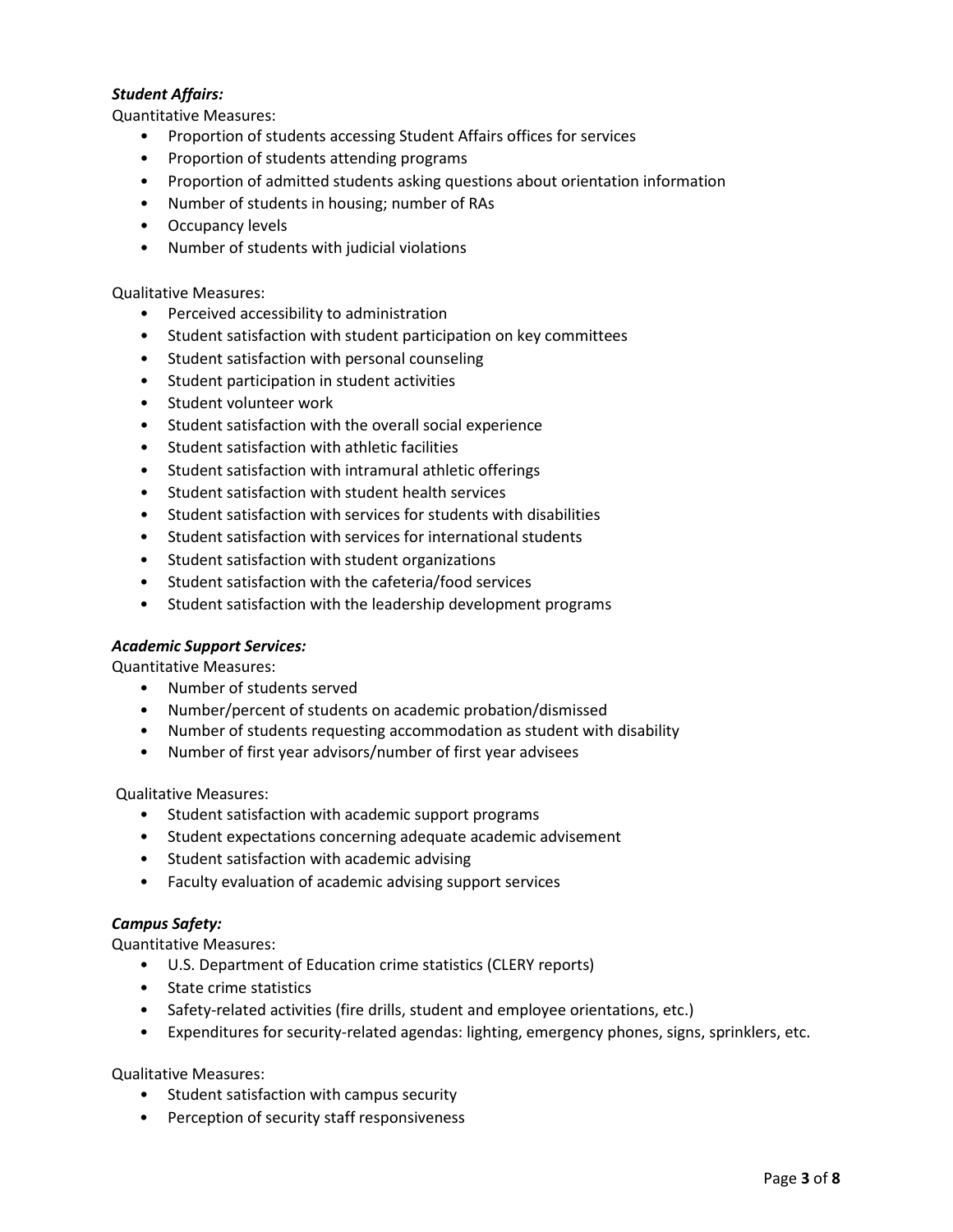# *Student Affairs:*

Quantitative Measures:

- Proportion of students accessing Student Affairs offices for services
- Proportion of students attending programs
- Proportion of admitted students asking questions about orientation information
- Number of students in housing; number of RAs
- Occupancy levels
- Number of students with judicial violations

#### Qualitative Measures:

- Perceived accessibility to administration
- Student satisfaction with student participation on key committees
- Student satisfaction with personal counseling
- Student participation in student activities
- Student volunteer work
- Student satisfaction with the overall social experience
- Student satisfaction with athletic facilities
- Student satisfaction with intramural athletic offerings
- Student satisfaction with student health services
- Student satisfaction with services for students with disabilities
- Student satisfaction with services for international students
- Student satisfaction with student organizations
- Student satisfaction with the cafeteria/food services
- Student satisfaction with the leadership development programs

### *Academic Support Services:*

Quantitative Measures:

- Number of students served
- Number/percent of students on academic probation/dismissed
- Number of students requesting accommodation as student with disability
- Number of first year advisors/number of first year advisees

Qualitative Measures:

- Student satisfaction with academic support programs
- Student expectations concerning adequate academic advisement
- Student satisfaction with academic advising
- Faculty evaluation of academic advising support services

### *Campus Safety:*

Quantitative Measures:

- U.S. Department of Education crime statistics (CLERY reports)
- State crime statistics
- Safety-related activities (fire drills, student and employee orientations, etc.)
- Expenditures for security-related agendas: lighting, emergency phones, signs, sprinklers, etc.

### Qualitative Measures:

- Student satisfaction with campus security
- Perception of security staff responsiveness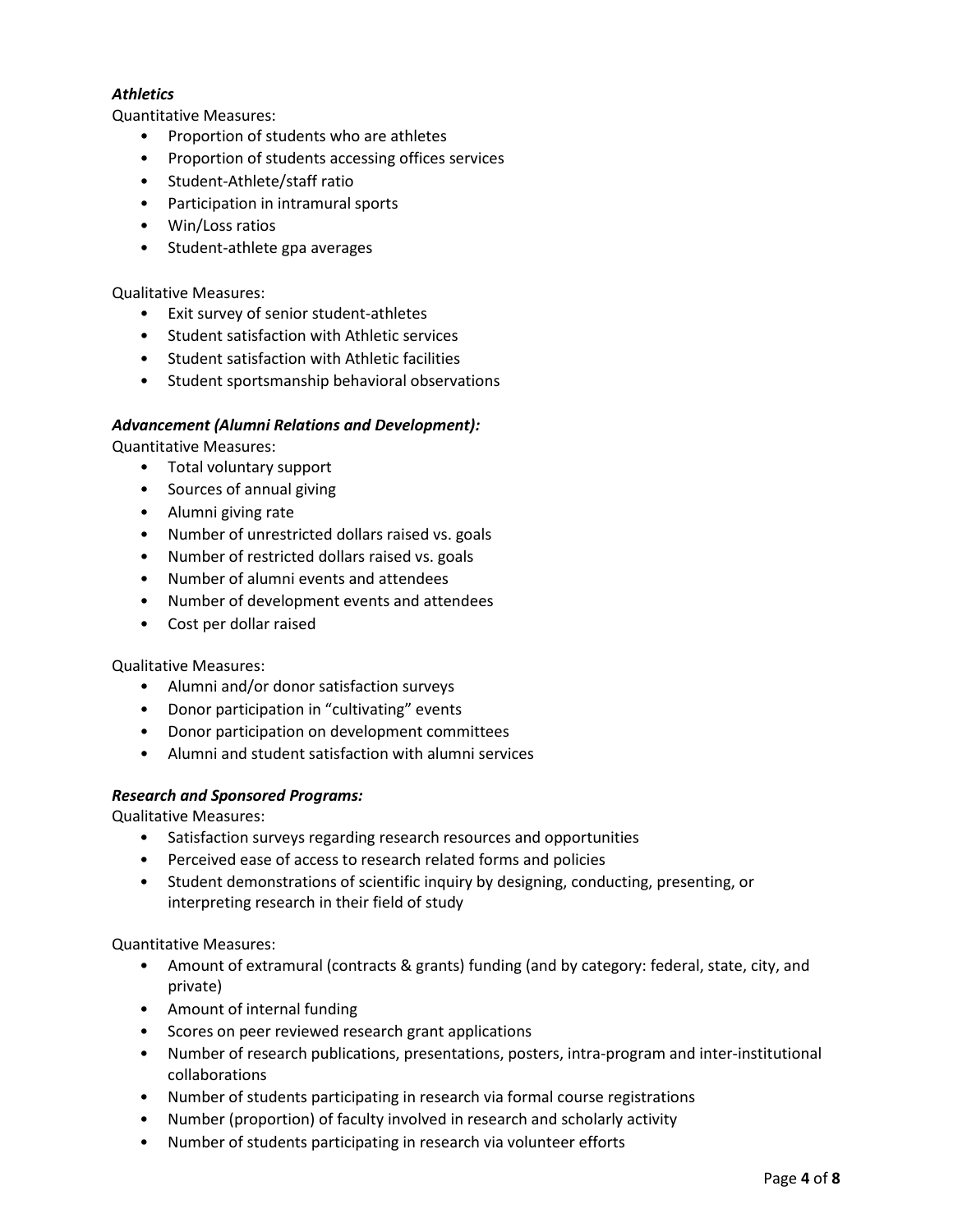# *Athletics*

Quantitative Measures:

- Proportion of students who are athletes
- Proportion of students accessing offices services
- Student-Athlete/staff ratio
- Participation in intramural sports
- Win/Loss ratios
- Student-athlete gpa averages

#### Qualitative Measures:

- Exit survey of senior student-athletes
- Student satisfaction with Athletic services
- Student satisfaction with Athletic facilities
- Student sportsmanship behavioral observations

#### *Advancement (Alumni Relations and Development):*

Quantitative Measures:

- Total voluntary support
- Sources of annual giving
- Alumni giving rate
- Number of unrestricted dollars raised vs. goals
- Number of restricted dollars raised vs. goals
- Number of alumni events and attendees
- Number of development events and attendees
- Cost per dollar raised

#### Qualitative Measures:

- Alumni and/or donor satisfaction surveys
- Donor participation in "cultivating" events
- Donor participation on development committees
- Alumni and student satisfaction with alumni services

### *Research and Sponsored Programs:*

Qualitative Measures:

- Satisfaction surveys regarding research resources and opportunities
- Perceived ease of access to research related forms and policies
- Student demonstrations of scientific inquiry by designing, conducting, presenting, or interpreting research in their field of study

Quantitative Measures:

- Amount of extramural (contracts & grants) funding (and by category: federal, state, city, and private)
- Amount of internal funding
- Scores on peer reviewed research grant applications
- Number of research publications, presentations, posters, intra-program and inter-institutional collaborations
- Number of students participating in research via formal course registrations
- Number (proportion) of faculty involved in research and scholarly activity
- Number of students participating in research via volunteer efforts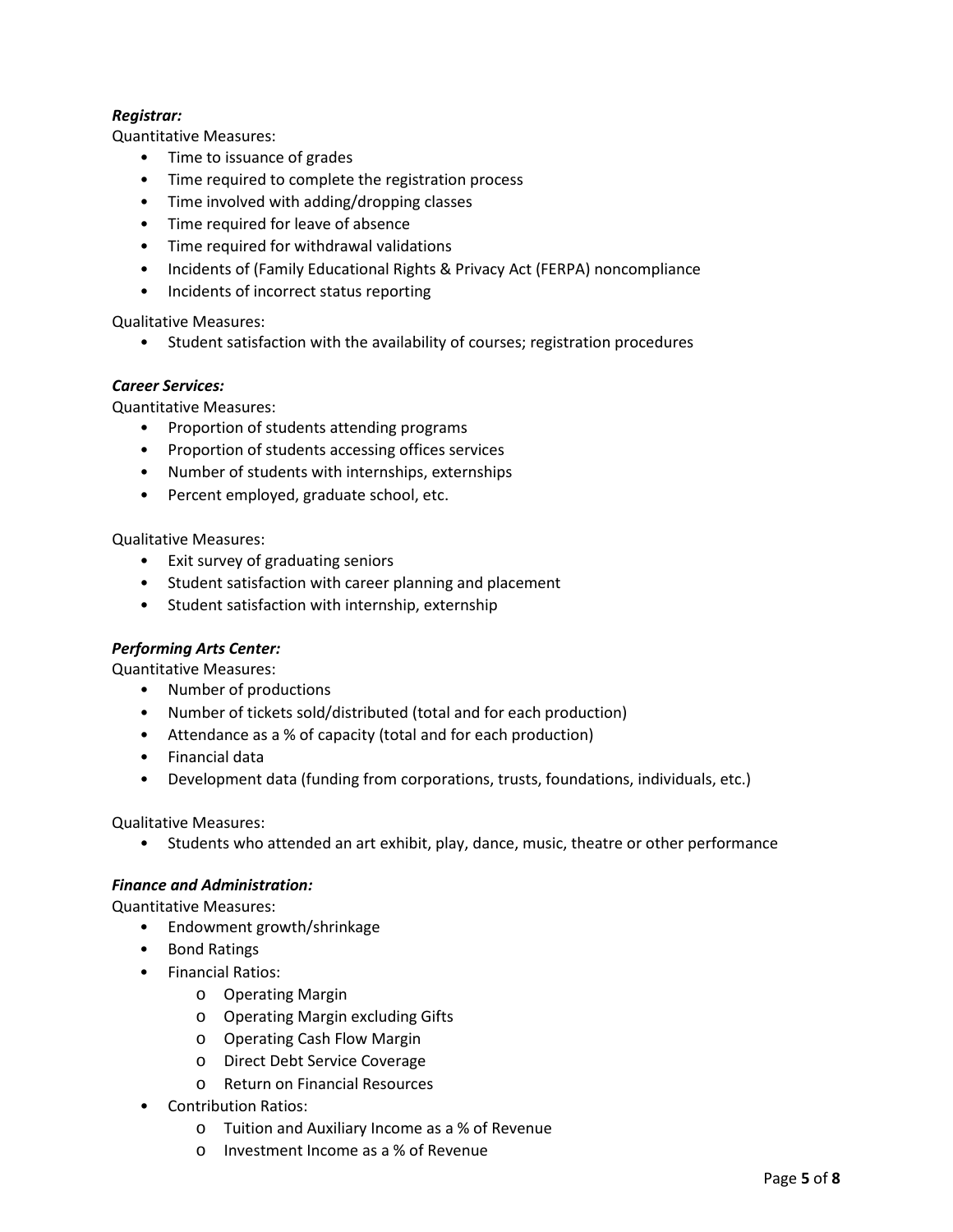# *Registrar:*

Quantitative Measures:

- Time to issuance of grades
- Time required to complete the registration process
- Time involved with adding/dropping classes
- Time required for leave of absence
- Time required for withdrawal validations
- Incidents of (Family Educational Rights & Privacy Act (FERPA) noncompliance
- Incidents of incorrect status reporting

Qualitative Measures:

• Student satisfaction with the availability of courses; registration procedures

#### *Career Services:*

Quantitative Measures:

- Proportion of students attending programs
- Proportion of students accessing offices services
- Number of students with internships, externships
- Percent employed, graduate school, etc.

Qualitative Measures:

- Exit survey of graduating seniors
- Student satisfaction with career planning and placement
- Student satisfaction with internship, externship

### *Performing Arts Center:*

Quantitative Measures:

- Number of productions
- Number of tickets sold/distributed (total and for each production)
- Attendance as a % of capacity (total and for each production)
- Financial data
- Development data (funding from corporations, trusts, foundations, individuals, etc.)

Qualitative Measures:

• Students who attended an art exhibit, play, dance, music, theatre or other performance

### *Finance and Administration:*

Quantitative Measures:

- Endowment growth/shrinkage
- Bond Ratings
- Financial Ratios:
	- o Operating Margin
	- o Operating Margin excluding Gifts
	- o Operating Cash Flow Margin
	- o Direct Debt Service Coverage
	- o Return on Financial Resources
- Contribution Ratios:
	- o Tuition and Auxiliary Income as a % of Revenue
	- o Investment Income as a % of Revenue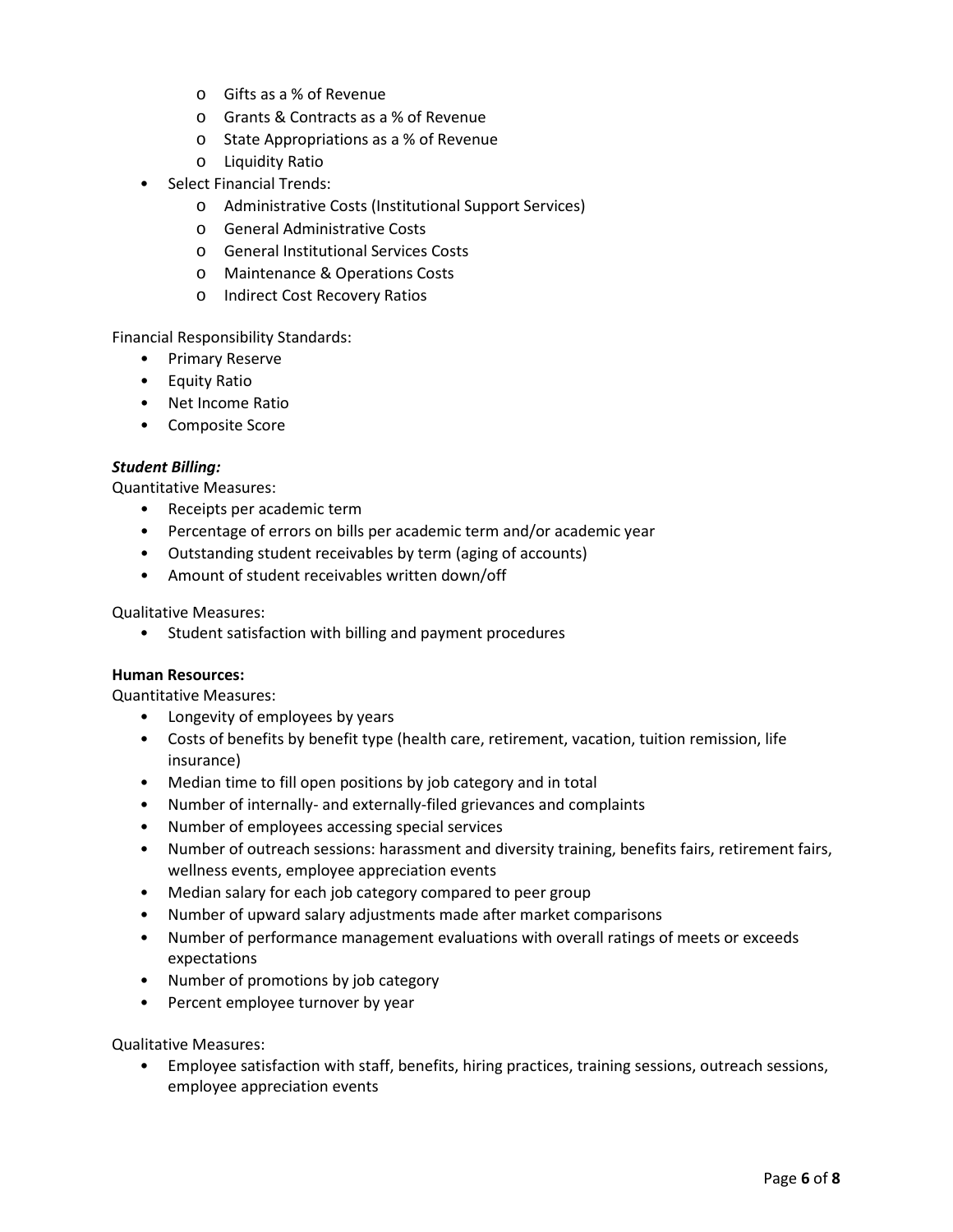- o Gifts as a % of Revenue
- o Grants & Contracts as a % of Revenue
- o State Appropriations as a % of Revenue
- o Liquidity Ratio
- Select Financial Trends:
	- o Administrative Costs (Institutional Support Services)
	- o General Administrative Costs
	- o General Institutional Services Costs
	- o Maintenance & Operations Costs
	- o Indirect Cost Recovery Ratios

Financial Responsibility Standards:

- Primary Reserve
- Equity Ratio
- Net Income Ratio
- Composite Score

### *Student Billing:*

Quantitative Measures:

- Receipts per academic term
- Percentage of errors on bills per academic term and/or academic year
- Outstanding student receivables by term (aging of accounts)
- Amount of student receivables written down/off

Qualitative Measures:

• Student satisfaction with billing and payment procedures

### **Human Resources:**

Quantitative Measures:

- Longevity of employees by years
- Costs of benefits by benefit type (health care, retirement, vacation, tuition remission, life insurance)
- Median time to fill open positions by job category and in total
- Number of internally- and externally-filed grievances and complaints
- Number of employees accessing special services
- Number of outreach sessions: harassment and diversity training, benefits fairs, retirement fairs, wellness events, employee appreciation events
- Median salary for each job category compared to peer group
- Number of upward salary adjustments made after market comparisons
- Number of performance management evaluations with overall ratings of meets or exceeds expectations
- Number of promotions by job category
- Percent employee turnover by year

Qualitative Measures:

• Employee satisfaction with staff, benefits, hiring practices, training sessions, outreach sessions, employee appreciation events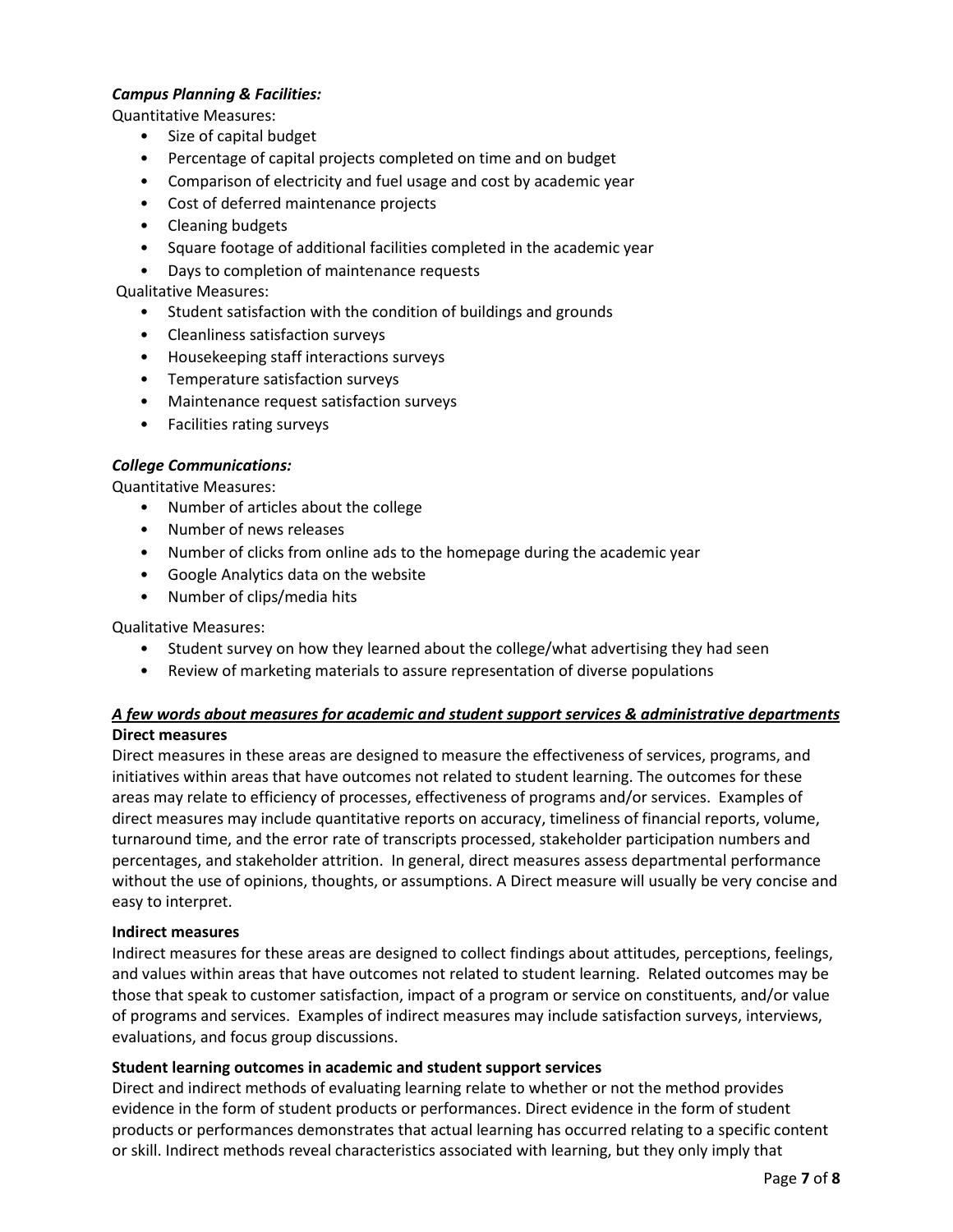### *Campus Planning & Facilities:*

Quantitative Measures:

- Size of capital budget
- Percentage of capital projects completed on time and on budget
- Comparison of electricity and fuel usage and cost by academic year
- Cost of deferred maintenance projects
- Cleaning budgets
- Square footage of additional facilities completed in the academic year
- Days to completion of maintenance requests

# Qualitative Measures:

- Student satisfaction with the condition of buildings and grounds
- Cleanliness satisfaction surveys
- Housekeeping staff interactions surveys
- Temperature satisfaction surveys
- Maintenance request satisfaction surveys
- Facilities rating surveys

# *College Communications:*

Quantitative Measures:

- Number of articles about the college
- Number of news releases
- Number of clicks from online ads to the homepage during the academic year
- Google Analytics data on the website
- Number of clips/media hits

### Qualitative Measures:

- Student survey on how they learned about the college/what advertising they had seen
- Review of marketing materials to assure representation of diverse populations

# *A few words about measures for academic and student support services & administrative departments* **Direct measures**

Direct measures in these areas are designed to measure the effectiveness of services, programs, and initiatives within areas that have outcomes not related to student learning. The outcomes for these areas may relate to efficiency of processes, effectiveness of programs and/or services. Examples of direct measures may include quantitative reports on accuracy, timeliness of financial reports, volume, turnaround time, and the error rate of transcripts processed, stakeholder participation numbers and percentages, and stakeholder attrition. In general, direct measures assess departmental performance without the use of opinions, thoughts, or assumptions. A Direct measure will usually be very concise and easy to interpret.

### **Indirect measures**

Indirect measures for these areas are designed to collect findings about attitudes, perceptions, feelings, and values within areas that have outcomes not related to student learning. Related outcomes may be those that speak to customer satisfaction, impact of a program or service on constituents, and/or value of programs and services. Examples of indirect measures may include satisfaction surveys, interviews, evaluations, and focus group discussions.

### **Student learning outcomes in academic and student support services**

Direct and indirect methods of evaluating learning relate to whether or not the method provides evidence in the form of student products or performances. Direct evidence in the form of student products or performances demonstrates that actual learning has occurred relating to a specific content or skill. Indirect methods reveal characteristics associated with learning, but they only imply that